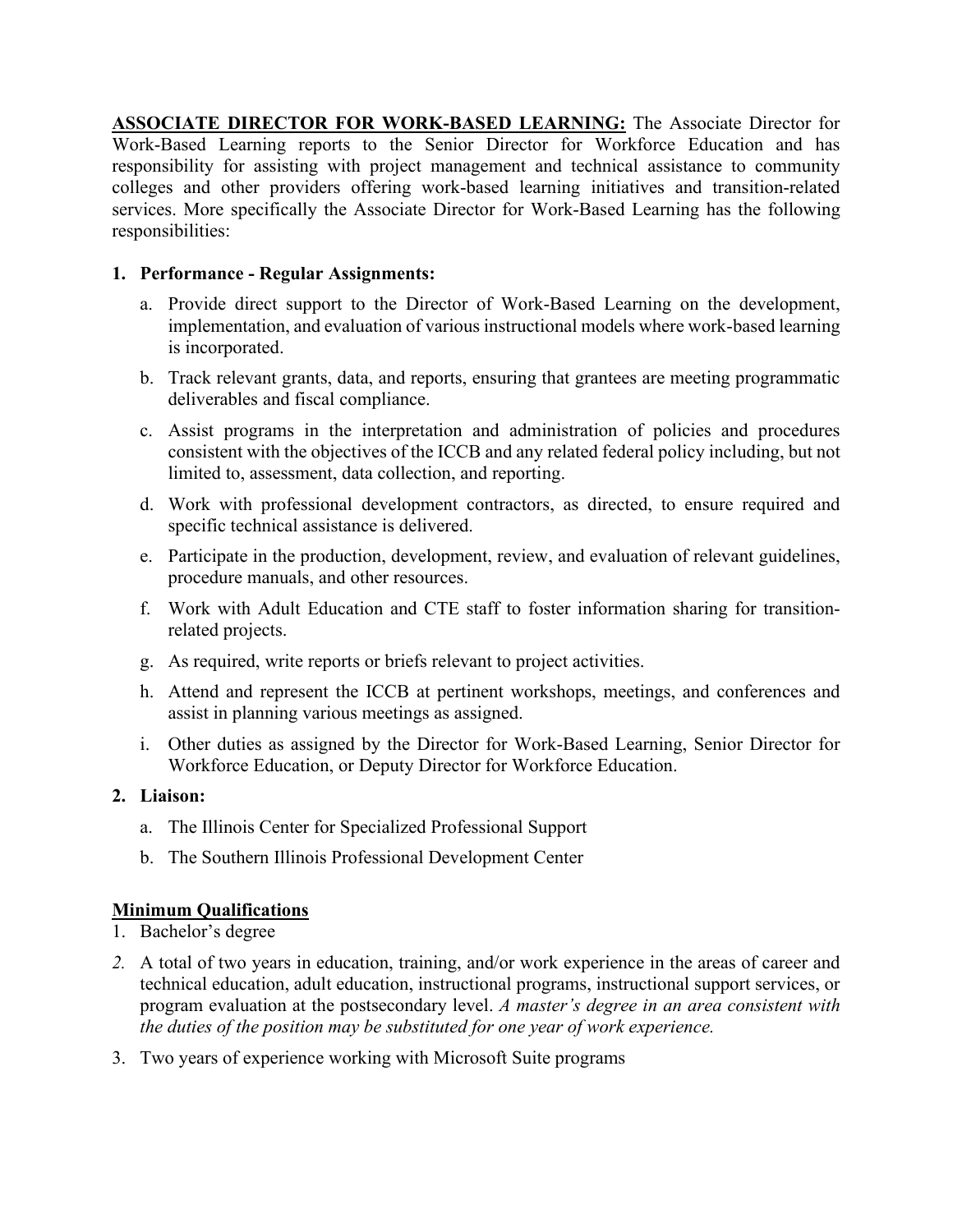**ASSOCIATE DIRECTOR FOR WORK-BASED LEARNING:** The Associate Director for Work-Based Learning reports to the Senior Director for Workforce Education and has responsibility for assisting with project management and technical assistance to community colleges and other providers offering work-based learning initiatives and transition-related services. More specifically the Associate Director for Work-Based Learning has the following responsibilities:

## **1. Performance - Regular Assignments:**

- a. Provide direct support to the Director of Work-Based Learning on the development, implementation, and evaluation of various instructional models where work-based learning is incorporated.
- b. Track relevant grants, data, and reports, ensuring that grantees are meeting programmatic deliverables and fiscal compliance.
- c. Assist programs in the interpretation and administration of policies and procedures consistent with the objectives of the ICCB and any related federal policy including, but not limited to, assessment, data collection, and reporting.
- d. Work with professional development contractors, as directed, to ensure required and specific technical assistance is delivered.
- e. Participate in the production, development, review, and evaluation of relevant guidelines, procedure manuals, and other resources.
- f. Work with Adult Education and CTE staff to foster information sharing for transitionrelated projects.
- g. As required, write reports or briefs relevant to project activities.
- h. Attend and represent the ICCB at pertinent workshops, meetings, and conferences and assist in planning various meetings as assigned.
- i. Other duties as assigned by the Director for Work-Based Learning, Senior Director for Workforce Education, or Deputy Director for Workforce Education.

## **2. Liaison:**

- a. The Illinois Center for Specialized Professional Support
- b. The Southern Illinois Professional Development Center

## **Minimum Qualifications**

- 1. Bachelor's degree
- *2.* A total of two years in education, training, and/or work experience in the areas of career and technical education, adult education, instructional programs, instructional support services, or program evaluation at the postsecondary level. *A master's degree in an area consistent with the duties of the position may be substituted for one year of work experience.*
- 3. Two years of experience working with Microsoft Suite programs